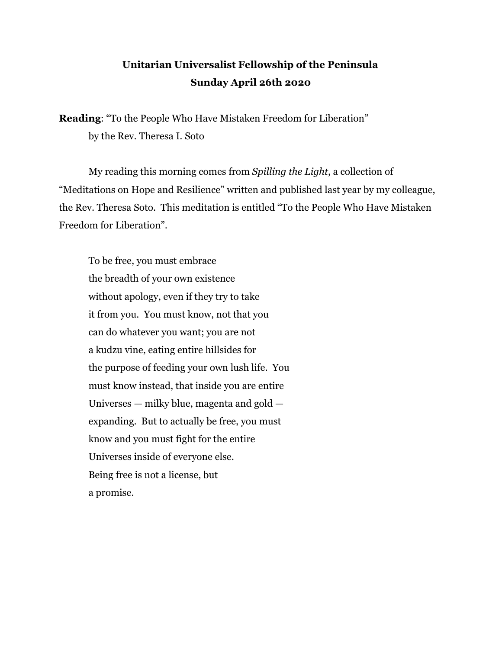## **Unitarian Universalist Fellowship of the Peninsula Sunday April 26th 2020**

**Reading:** "To the People Who Have Mistaken Freedom for Liberation" by the Rev. Theresa I. Soto

My reading this morning comes from *Spilling the Light* , a collection of "Meditations on Hope and Resilience" written and published last year by my colleague, the Rev. Theresa Soto. This meditation is entitled "To the People Who Have Mistaken Freedom for Liberation".

To be free, you must embrace the breadth of your own existence without apology, even if they try to take it from you. You must know, not that you can do whatever you want; you are not a kudzu vine, eating entire hillsides for the purpose of feeding your own lush life. You must know instead, that inside you are entire Universes — milky blue, magenta and gold expanding. But to actually be free, you must know and you must fight for the entire Universes inside of everyone else. Being free is not a license, but a promise.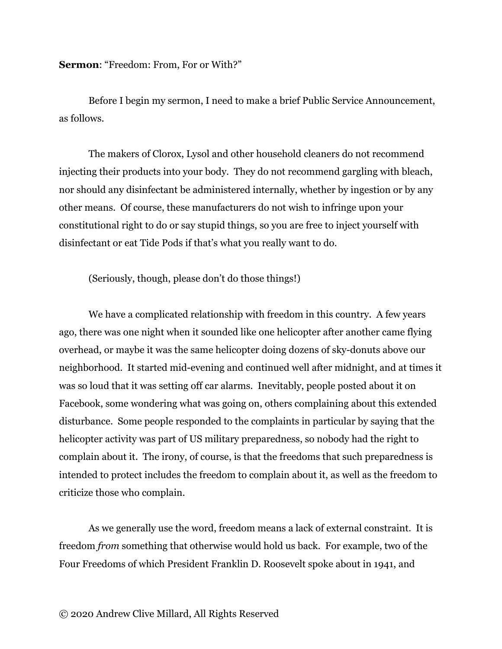**Sermon:** "Freedom: From, For or With?"

Before I begin my sermon, I need to make a brief Public Service Announcement, as follows.

The makers of Clorox, Lysol and other household cleaners do not recommend injecting their products into your body. They do not recommend gargling with bleach, nor should any disinfectant be administered internally, whether by ingestion or by any other means. Of course, these manufacturers do not wish to infringe upon your constitutional right to do or say stupid things, so you are free to inject yourself with disinfectant or eat Tide Pods if that's what you really want to do.

(Seriously, though, please don't do those things!)

We have a complicated relationship with freedom in this country. A few years ago, there was one night when it sounded like one helicopter after another came flying overhead, or maybe it was the same helicopter doing dozens of sky-donuts above our neighborhood. It started mid-evening and continued well after midnight, and at times it was so loud that it was setting off car alarms. Inevitably, people posted about it on Facebook, some wondering what was going on, others complaining about this extended disturbance. Some people responded to the complaints in particular by saying that the helicopter activity was part of US military preparedness, so nobody had the right to complain about it. The irony, of course, is that the freedoms that such preparedness is intended to protect includes the freedom to complain about it, as well as the freedom to criticize those who complain.

As we generally use the word, freedom means a lack of external constraint. It is freedom *from* something that otherwise would hold us back. For example, two of the Four Freedoms of which President Franklin D. Roosevelt spoke about in 1941, and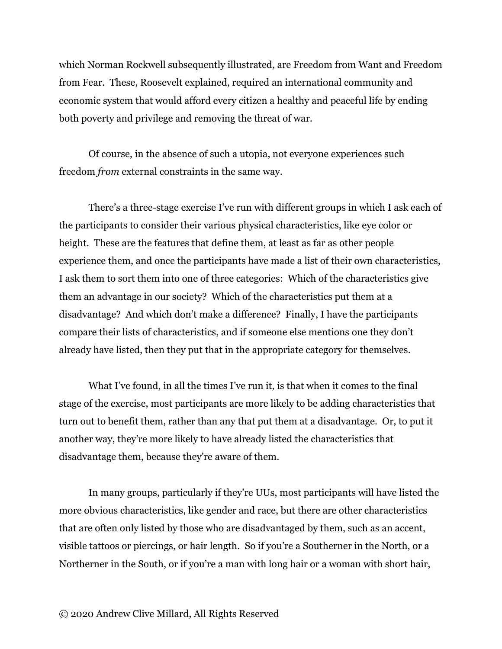which Norman Rockwell subsequently illustrated, are Freedom from Want and Freedom from Fear. These, Roosevelt explained, required an international community and economic system that would afford every citizen a healthy and peaceful life by ending both poverty and privilege and removing the threat of war.

Of course, in the absence of such a utopia, not everyone experiences such freedom *from* external constraints in the same way.

There's a three-stage exercise I've run with different groups in which I ask each of the participants to consider their various physical characteristics, like eye color or height. These are the features that define them, at least as far as other people experience them, and once the participants have made a list of their own characteristics, I ask them to sort them into one of three categories: Which of the characteristics give them an advantage in our society? Which of the characteristics put them at a disadvantage? And which don't make a difference? Finally, I have the participants compare their lists of characteristics, and if someone else mentions one they don't already have listed, then they put that in the appropriate category for themselves.

What I've found, in all the times I've run it, is that when it comes to the final stage of the exercise, most participants are more likely to be adding characteristics that turn out to benefit them, rather than any that put them at a disadvantage. Or, to put it another way, they're more likely to have already listed the characteristics that disadvantage them, because they're aware of them.

In many groups, particularly if they're UUs, most participants will have listed the more obvious characteristics, like gender and race, but there are other characteristics that are often only listed by those who are disadvantaged by them, such as an accent, visible tattoos or piercings, or hair length. So if you're a Southerner in the North, or a Northerner in the South, or if you're a man with long hair or a woman with short hair,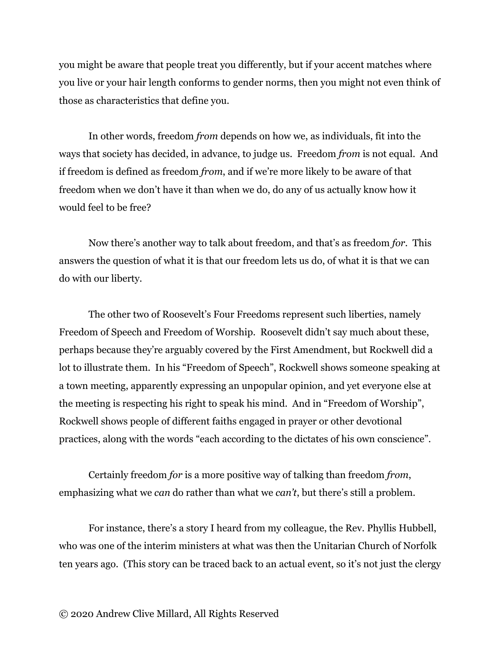you might be aware that people treat you differently, but if your accent matches where you live or your hair length conforms to gender norms, then you might not even think of those as characteristics that define you.

In other words, freedom *from* depends on how we, as individuals, fit into the ways that society has decided, in advance, to judge us. Freedom *from* is not equal. And if freedom is defined as freedom *from* , and if we're more likely to be aware of that freedom when we don't have it than when we do, do any of us actually know how it would feel to be free?

Now there's another way to talk about freedom, and that's as freedom *for* . This answers the question of what it is that our freedom lets us do, of what it is that we can do with our liberty.

The other two of Roosevelt's Four Freedoms represent such liberties, namely Freedom of Speech and Freedom of Worship. Roosevelt didn't say much about these, perhaps because they're arguably covered by the First Amendment, but Rockwell did a lot to illustrate them. In his "Freedom of Speech", Rockwell shows someone speaking at a town meeting, apparently expressing an unpopular opinion, and yet everyone else at the meeting is respecting his right to speak his mind. And in "Freedom of Worship", Rockwell shows people of different faiths engaged in prayer or other devotional practices, along with the words "each according to the dictates of his own conscience".

Certainly freedom *for* is a more positive way of talking than freedom *from* , emphasizing what we *can* do rather than what we *can't*, but there's still a problem.

For instance, there's a story I heard from my colleague, the Rev. Phyllis Hubbell, who was one of the interim ministers at what was then the Unitarian Church of Norfolk ten years ago. (This story can be traced back to an actual event, so it's not just the clergy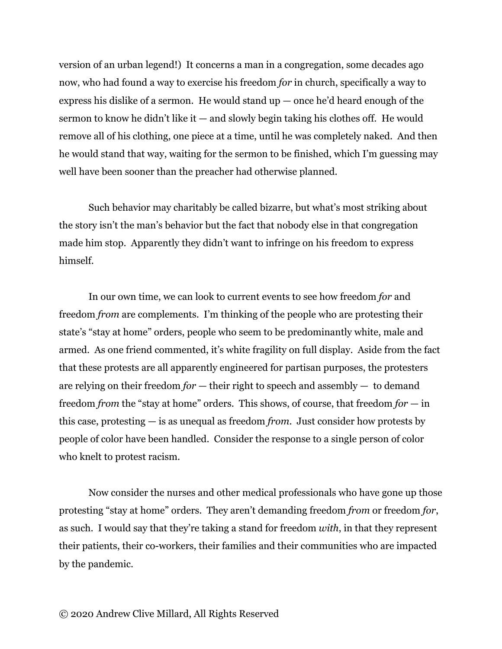version of an urban legend!) It concerns a man in a congregation, some decades ago now, who had found a way to exercise his freedom *for* in church, specifically a way to express his dislike of a sermon. He would stand  $up$   $-$  once he'd heard enough of the sermon to know he didn't like it  $-$  and slowly begin taking his clothes off. He would remove all of his clothing, one piece at a time, until he was completely naked. And then he would stand that way, waiting for the sermon to be finished, which I'm guessing may well have been sooner than the preacher had otherwise planned.

Such behavior may charitably be called bizarre, but what's most striking about the story isn't the man's behavior but the fact that nobody else in that congregation made him stop. Apparently they didn't want to infringe on his freedom to express himself.

In our own time, we can look to current events to see how freedom *for* and freedom *from* are complements. I'm thinking of the people who are protesting their state's "stay at home" orders, people who seem to be predominantly white, male and armed. As one friend commented, it's white fragility on full display. Aside from the fact that these protests are all apparently engineered for partisan purposes, the protesters are relying on their freedom  $for$  — their right to speech and assembly — to demand freedom *from* the "stay at home" orders. This shows, of course, that freedom *for* — in this case, protesting — is as unequal as freedom *from* . Just consider how protests by people of color have been handled. Consider the response to a single person of color who knelt to protest racism.

Now consider the nurses and other medical professionals who have gone up those protesting "stay at home" orders. They aren't demanding freedom *from* or freedom *for* , as such. I would say that they're taking a stand for freedom *with* , in that they represent their patients, their co-workers, their families and their communities who are impacted by the pandemic.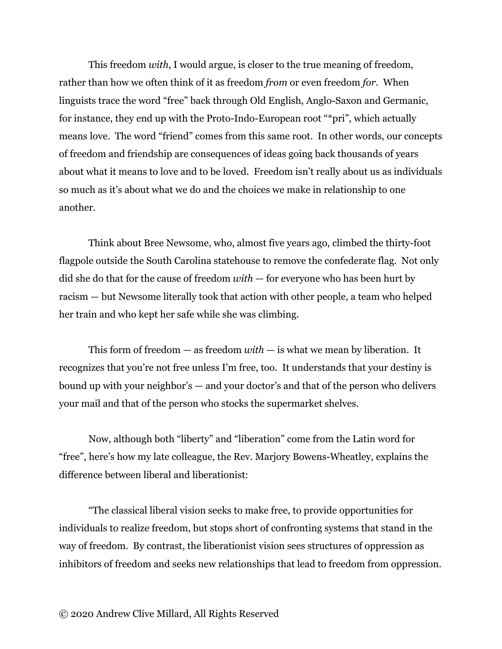This freedom *with*, I would argue, is closer to the true meaning of freedom, rather than how we often think of it as freedom *from* or even freedom *for* . When linguists trace the word "free" back through Old English, Anglo-Saxon and Germanic, for instance, they end up with the Proto-Indo-European root "\*pri", which actually means love. The word "friend" comes from this same root. In other words, our concepts of freedom and friendship are consequences of ideas going back thousands of years about what it means to love and to be loved. Freedom isn't really about us as individuals so much as it's about what we do and the choices we make in relationship to one another.

Think about Bree Newsome, who, almost five years ago, climbed the thirty-foot flagpole outside the South Carolina statehouse to remove the confederate flag. Not only did she do that for the cause of freedom *with* — for everyone who has been hurt by racism — but Newsome literally took that action with other people, a team who helped her train and who kept her safe while she was climbing.

This form of freedom — as freedom  $with$  — is what we mean by liberation. It recognizes that you're not free unless I'm free, too. It understands that your destiny is bound up with your neighbor's — and your doctor's and that of the person who delivers your mail and that of the person who stocks the supermarket shelves.

Now, although both "liberty" and "liberation" come from the Latin word for "free", here's how my late colleague, the Rev. Marjory Bowens-Wheatley, explains the difference between liberal and liberationist:

"The classical liberal vision seeks to make free, to provide opportunities for individuals to realize freedom, but stops short of confronting systems that stand in the way of freedom. By contrast, the liberationist vision sees structures of oppression as inhibitors of freedom and seeks new relationships that lead to freedom from oppression.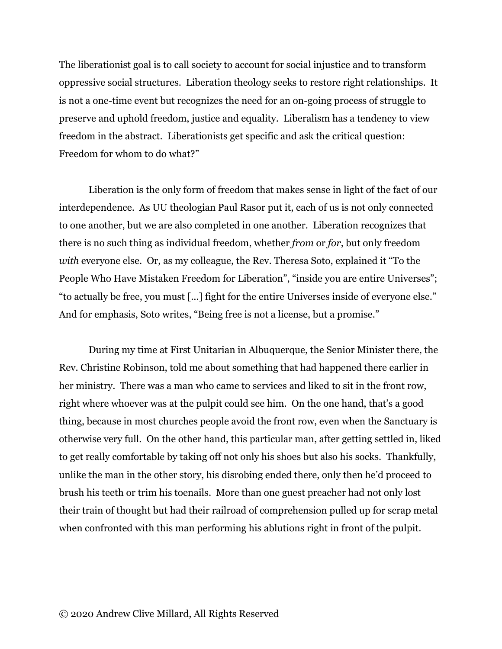The liberationist goal is to call society to account for social injustice and to transform oppressive social structures. Liberation theology seeks to restore right relationships. It is not a one-time event but recognizes the need for an on-going process of struggle to preserve and uphold freedom, justice and equality. Liberalism has a tendency to view freedom in the abstract. Liberationists get specific and ask the critical question: Freedom for whom to do what?"

Liberation is the only form of freedom that makes sense in light of the fact of our interdependence. As UU theologian Paul Rasor put it, each of us is not only connected to one another, but we are also completed in one another. Liberation recognizes that there is no such thing as individual freedom, whether *from* or *for* , but only freedom *with* everyone else. Or, as my colleague, the Rev. Theresa Soto, explained it "To the People Who Have Mistaken Freedom for Liberation", "inside you are entire Universes"; "to actually be free, you must [...] fight for the entire Universes inside of everyone else." And for emphasis, Soto writes, "Being free is not a license, but a promise."

During my time at First Unitarian in Albuquerque, the Senior Minister there, the Rev. Christine Robinson, told me about something that had happened there earlier in her ministry. There was a man who came to services and liked to sit in the front row, right where whoever was at the pulpit could see him. On the one hand, that's a good thing, because in most churches people avoid the front row, even when the Sanctuary is otherwise very full. On the other hand, this particular man, after getting settled in, liked to get really comfortable by taking off not only his shoes but also his socks. Thankfully, unlike the man in the other story, his disrobing ended there, only then he'd proceed to brush his teeth or trim his toenails. More than one guest preacher had not only lost their train of thought but had their railroad of comprehension pulled up for scrap metal when confronted with this man performing his ablutions right in front of the pulpit.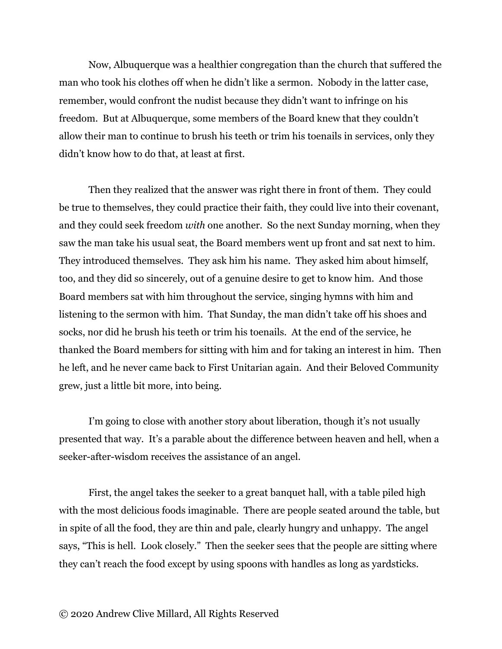Now, Albuquerque was a healthier congregation than the church that suffered the man who took his clothes off when he didn't like a sermon. Nobody in the latter case, remember, would confront the nudist because they didn't want to infringe on his freedom. But at Albuquerque, some members of the Board knew that they couldn't allow their man to continue to brush his teeth or trim his toenails in services, only they didn't know how to do that, at least at first.

Then they realized that the answer was right there in front of them. They could be true to themselves, they could practice their faith, they could live into their covenant, and they could seek freedom *with* one another. So the next Sunday morning, when they saw the man take his usual seat, the Board members went up front and sat next to him. They introduced themselves. They ask him his name. They asked him about himself, too, and they did so sincerely, out of a genuine desire to get to know him. And those Board members sat with him throughout the service, singing hymns with him and listening to the sermon with him. That Sunday, the man didn't take off his shoes and socks, nor did he brush his teeth or trim his toenails. At the end of the service, he thanked the Board members for sitting with him and for taking an interest in him. Then he left, and he never came back to First Unitarian again. And their Beloved Community grew, just a little bit more, into being.

I'm going to close with another story about liberation, though it's not usually presented that way. It's a parable about the difference between heaven and hell, when a seeker-after-wisdom receives the assistance of an angel.

First, the angel takes the seeker to a great banquet hall, with a table piled high with the most delicious foods imaginable. There are people seated around the table, but in spite of all the food, they are thin and pale, clearly hungry and unhappy. The angel says, "This is hell. Look closely." Then the seeker sees that the people are sitting where they can't reach the food except by using spoons with handles as long as yardsticks.